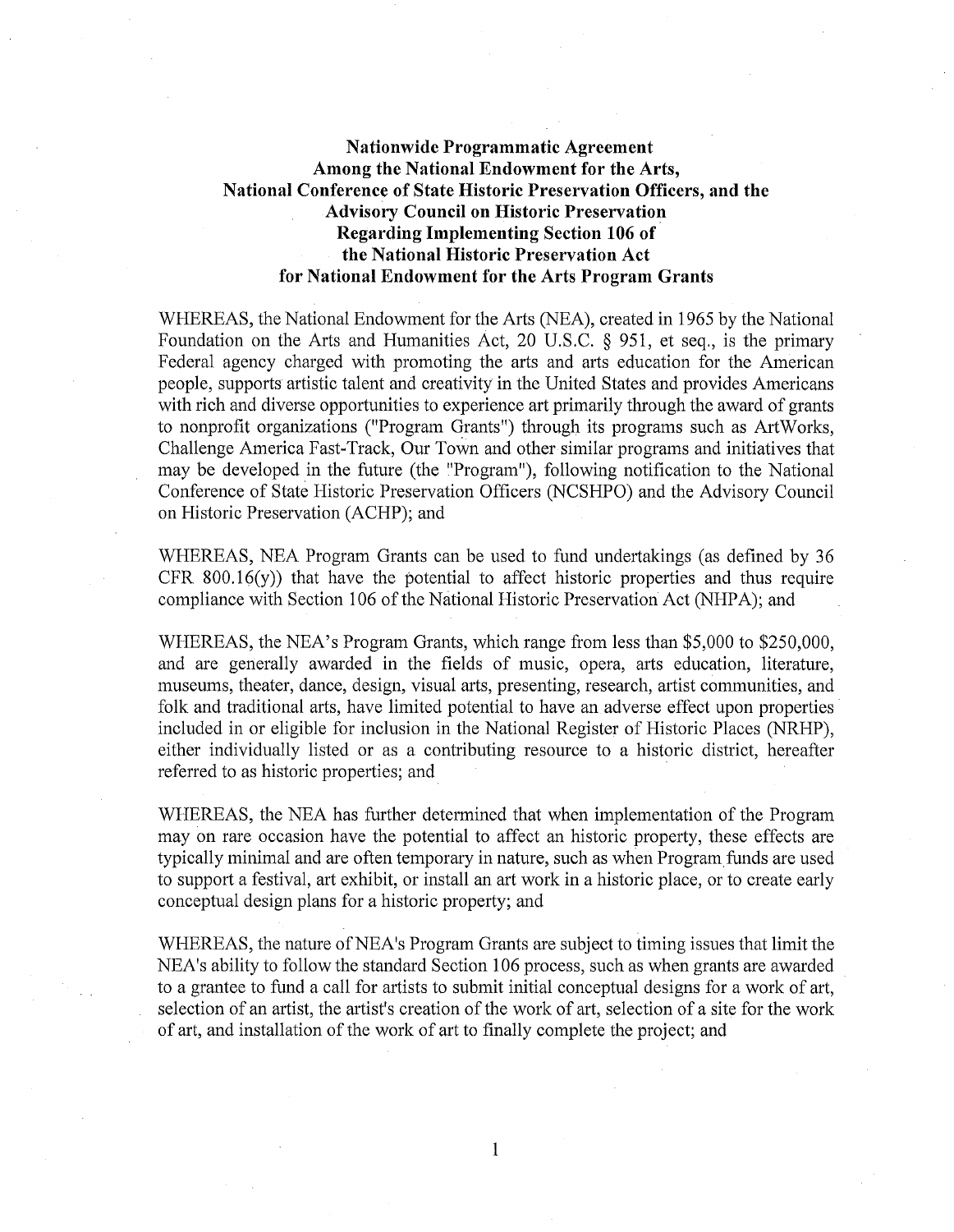## **Nationwide Programmatic Agreement Among the National Endowment for the Arts, National Conference of State Historic Preservation Officers, and the Advisory Council on Historic Preservation Regarding Implementing Section 106 of the National Historic Preservation Act for National Endowment for the Arts Program Grants**

WHEREAS, the National Endowment for the Arts (NEA), created in 1965 by the National Foundation on the Arts and Humanities Act, 20 U.S.C. § 951, et seq., is the primary Federal agency charged with promoting the arts and arts education for the American people, supports artistic talent and creativity in the United States and provides Americans with rich and diverse opportunities to experience art primarily through the award of grants to nonprofit organizations ("Program Grants") through its programs such as ArtWorks, Challenge America Fast~ Track, Our Town and other similar programs and initiatives that may be developed in the future (the "Program''), following notification to the National Conference of State Historic Preservation Officers (NCSHPO) and the Advisory Council on Historic Preservation (ACHP); and

WHEREAS, NEA Program Grants can be used to fund undertakings (as defined by 36 CFR  $800.16(y)$  that have the potential to affect historic properties and thus require compliance with Section 106 of the National Historic Preservation Act (NHPA); and

WHEREAS, the NEA's Program Grants, which range from less than \$5,000 to \$250,000, and are generally awarded in the fields of music, opera, arts education, literature, museums, theater, dance, design, visual arts, presenting, research, artist communities, and folk and traditional arts, have limited potential to have an adverse effect upon properties included in or eligible for inclusion in the National Register of Historic Places (NRHP), either individually listed or as a contributing resource to a historic district, hereafter referred to as historic properties; and

WHEREAS, the NEA has further determined that when implementation of the Program may on rare occasion have the potential to affect an historic property, these effects are typically minimal and are often temporary in nature, such as when Program funds are used to support a festival, art exhibit, or install an art work in a historic place, or to create early conceptual design plans for a historic property; and

WHEREAS, the nature of NEA's Program Grants are subject to timing issues that limit the NEA's ability to follow the standard Section 106 process, such as when grants are awarded to a grantee to fund a call for artists to submit initial conceptual designs for a work of art, selection of an artist, the artist's creation of the work of art, selection of a site for the work of art, and installation of the work of art to finally complete the project; and

1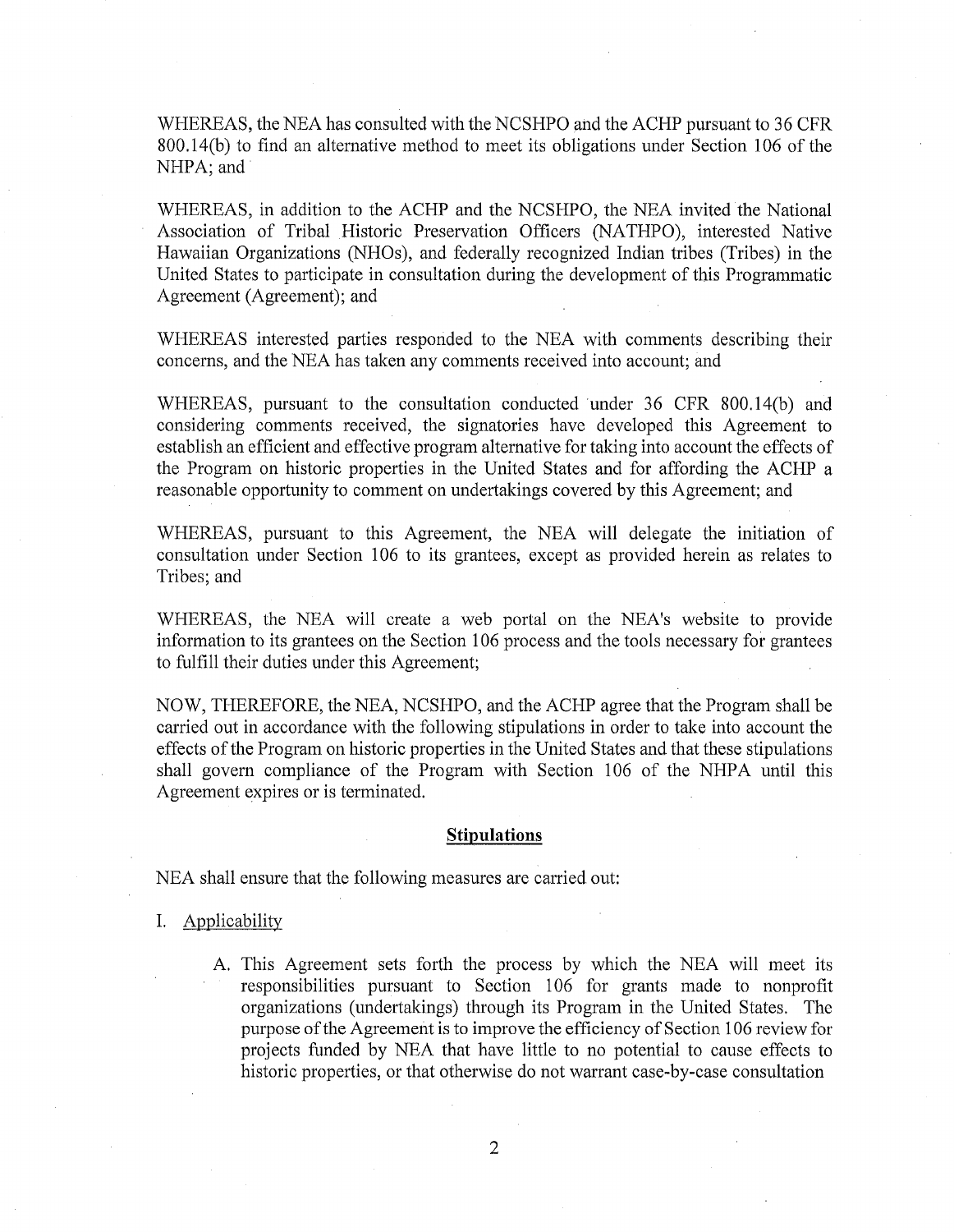WHEREAS, the NEA has consulted with the NCSHPO and the ACHP pursuant to 36 CFR 800. l 4(b) to find an alternative method to meet its obligations under Section 106 of the NHPA; and

WHEREAS, in addition to the ACHP and the NCSHPO, the NEA invited the National Association of Tribal Historic Preservation Officers (NATHPO), interested Native Hawaiian Organizations (NHOs), and federally recognized Indian tribes (Tribes) in the United States to participate in consultation during the development of this Programmatic Agreement (Agreement); and

WHEREAS interested parties responded to the NEA with comments describing their concerns, and the NBA has taken any comments received into account; and

WHEREAS, pursuant to the consultation conducted under 36 CFR 800.14(b) and considering comments received, the signatories have developed this Agreement to establish an efficient and effective program alternative for taking into account the effects of the Program on historic properties in the United States and for affording the ACHP a reasonable opportunity to comment on undertakings covered by this Agreement; and

WHEREAS, pursuant to this Agreement, the NEA will delegate the initiation of consultation under Section 106 to its grantees, except as provided herein as relates to Tribes; and

WHEREAS, the NEA will create a web portal on the NEA's website to provide information to its grantees on the Section 106 process and the tools necessary for grantees to fulfill their duties under this Agreement;

NOW, THEREFORE, the NBA, NCSHPO, and the ACHP agree that the Program shall be carried out in accordance with the following stipulations in order to take into account the effects of the Program on historic properties in the United States and that these stipulations shall govern compliance of the Program with Section 106 of the NHPA until this Agreement expires or is terminated.

## **Stipulations**

NEA shall ensure that the following measures are carried out:

- I. Applicability
	- A. This Agreement sets forth the process by which the NBA will meet its responsibilities pursuant to Section 106 for grants made to nonprofit organizations (undertakings) through its Program in the United States. The purpose of the Agreement is to improve the efficiency of Section 106 review for projects funded by NBA that have little to no potential to cause effects to historic properties, or that otherwise do not warrant case-by-case consultation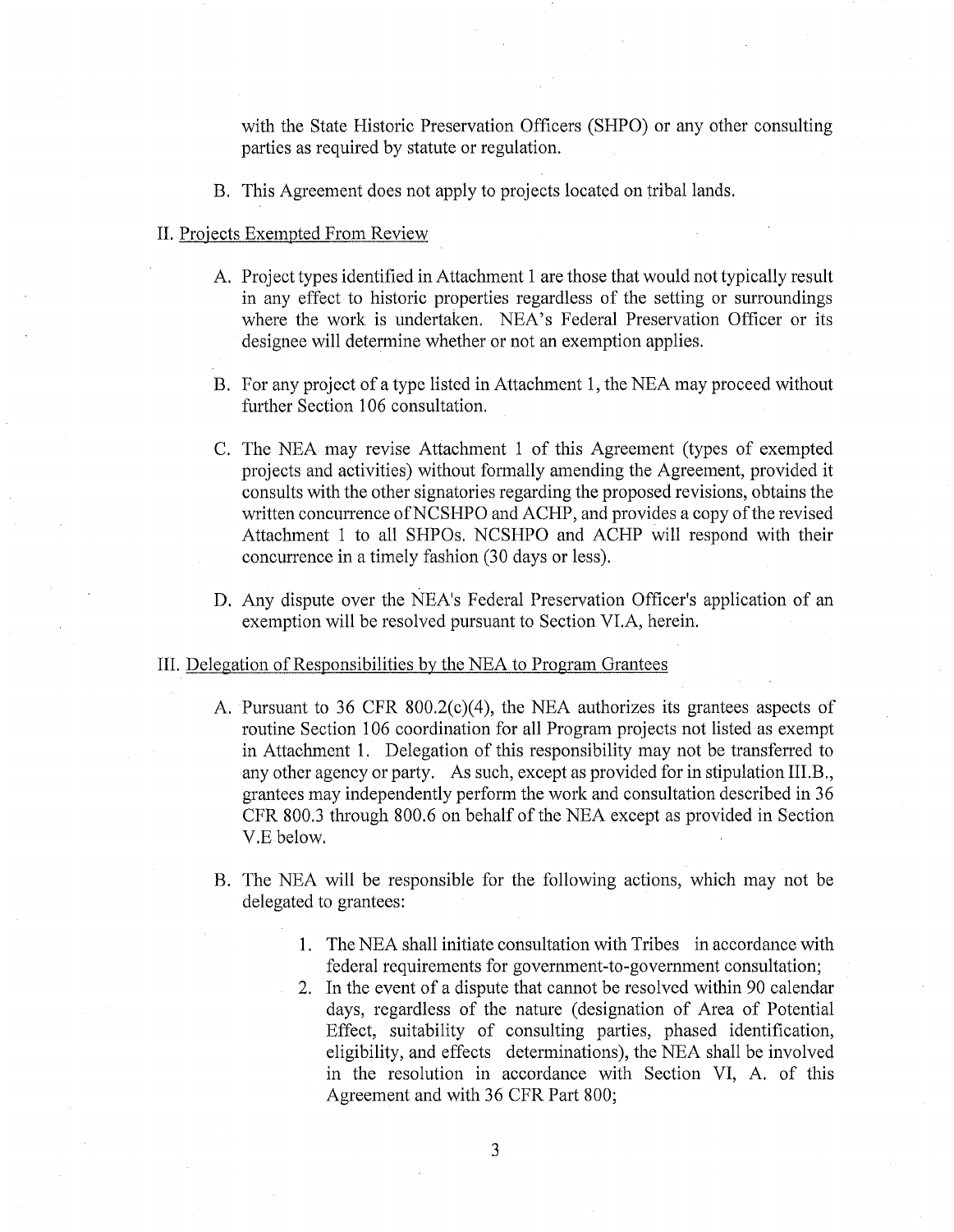with the State Historic Preservation Officers (SHPO) or any other consulting parties as required by statute or regulation.

B. This Agreement does not apply to projects located on tribal lands.

## II. Projects Exempted From Review

- A. Project types identified in Attachment 1 are those that would not typically result in any effect to historic properties regardless of the setting or surroundings where the work is undertaken. NEA's Federal Preservation Officer or its designee will determine whether or not an exemption applies.
- B. For any project of a type listed in Attachment 1, the NEA may proceed without further Section 106 consultation.
- C. The NEA may revise Attachment 1 of this Agreement (types of exempted projects and activities) without formally amending the Agreement, provided it consults with the other signatories regarding the proposed revisions, obtains the written concurrence of NCSHPO and ACHP, and provides a copy of the revised Attachment 1 to all SHPOs, NCSHPO and ACHP will respond with their concurrence in a timely fashion (30 days or less).
- D. Any dispute over the NEA's Federal Preservation Officer's application of an exemption will be resolved pursuant to Section VI.A, herein.

## III. Delegation of Responsibilities by the NEA to Program Grantees

- A. Pursuant to 36 CFR 800.2(c)(4), the NEA authorizes its grantees aspects of routine Section 106 coordination for all Program projects not listed as exempt in Attachment 1. Delegation of this responsibility may not be transferred to any other agency or party. As such, except as provided for in stipulation III.B., grantees may independently perform the work and consultation described in 36 CFR 800.3 through 800.6 on behalf of the NEA except as provided in Section V.E below,
- B. The NEA will be responsible for the following actions, which may not be delegated to grantees:
	- 1. The NEA shall initiate consultation with Tribes in accordance with federal requirements for government-to-government consultation;
	- 2. In the event of a dispute that cannot be resolved within 90 calendar days, regardless of the nature ( designation of Area of Potential Effect, suitability of consulting parties, phased identification, eligibility, and effects determinations), the NEA shall be involved in the resolution in accordance with Section VI, A. of this Agreement and with 36 CFR Part 800;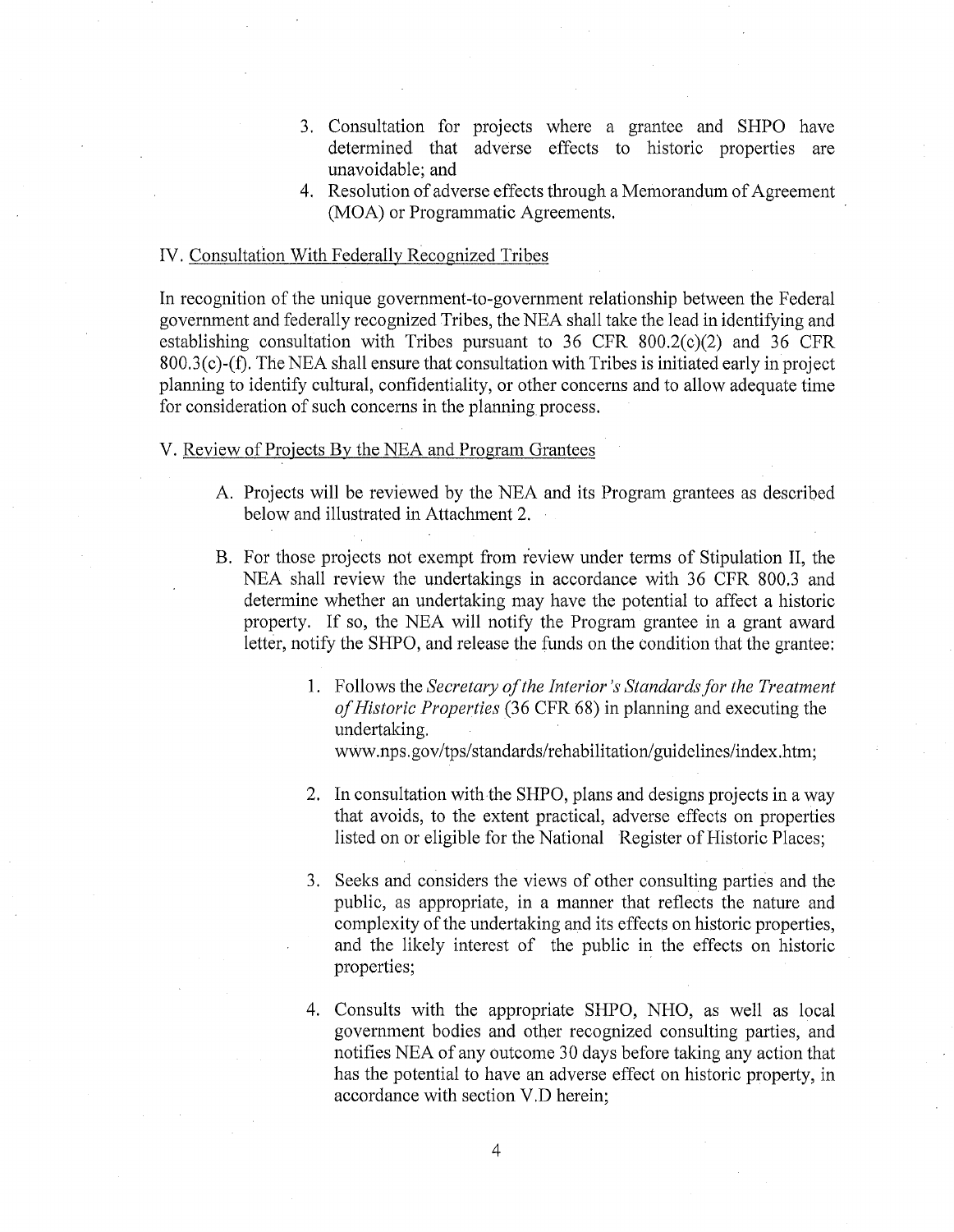- 3. Consultation for projects where a grantee and SHPO have determined that adverse effects to historic properties are unavoidable; and
- 4. Resolution of adverse effects through a Memorandum of Agreement (MOA) or Programmatic Agreements.

## IV. Consultation With Federally Recognized Tribes

In recognition of the unique government-to-government relationship between the Federal government and federally recognized Tribes, the NEA shall take the lead in identifying and establishing consultation with Tribes pursuant to 36 CFR 800.2(c)(2) and 36 CFR 800.3(c)-(f). The NEA shall ensure that consultation with Tribes is initiated early in project planning to identify cultural, confidentiality, or other concerns and to allow adequate time for consideration of such concerns in the planning process.

## V. Review of Projects By the NEA and Program Grantees

- A. Projects will be reviewed by the NEA and its Program grantees as described below and illustrated in Attachment 2.
- B. For those projects not exempt from review under terms of Stipulation II, the NEA shall review the undertakings in accordance with 36 CFR 800.3 and determine whether an undertaking may have the potential to affect a historic property. If so, the NEA will notify the Program grantee in a grant award letter, notify the SHPO, and release the funds on the condition that the grantee:
	- 1. Follows the *Secretary of the Interior's Standards for the Treatment of Historic Properties* (36 CFR 68) in planning and executing the undertaking. www.nps.gov/tps/standards/rehabilitation/guidelines/index.htm;
	- 2. In consultation with the SHPO, plans and designs projects in a way that avoids, to the extent practical, adverse effects on properties listed on or eligible for the National Register of Historic Places;
	- 3. Seeks and considers the views of other consulting parties and the public, as appropriate, in a manner that reflects the nature and complexity of the undertaking and its effects on historic properties, and the likely interest of the public in the effects on historic properties;
	- 4. Consults with the appropriate SHPO, NHO, as well as local government bodies and other recognized consulting parties, and notifies NEA of any outcome 30 days before taking any action that has the potential to have an adverse effect on historic property, in accordance with section V .D herein;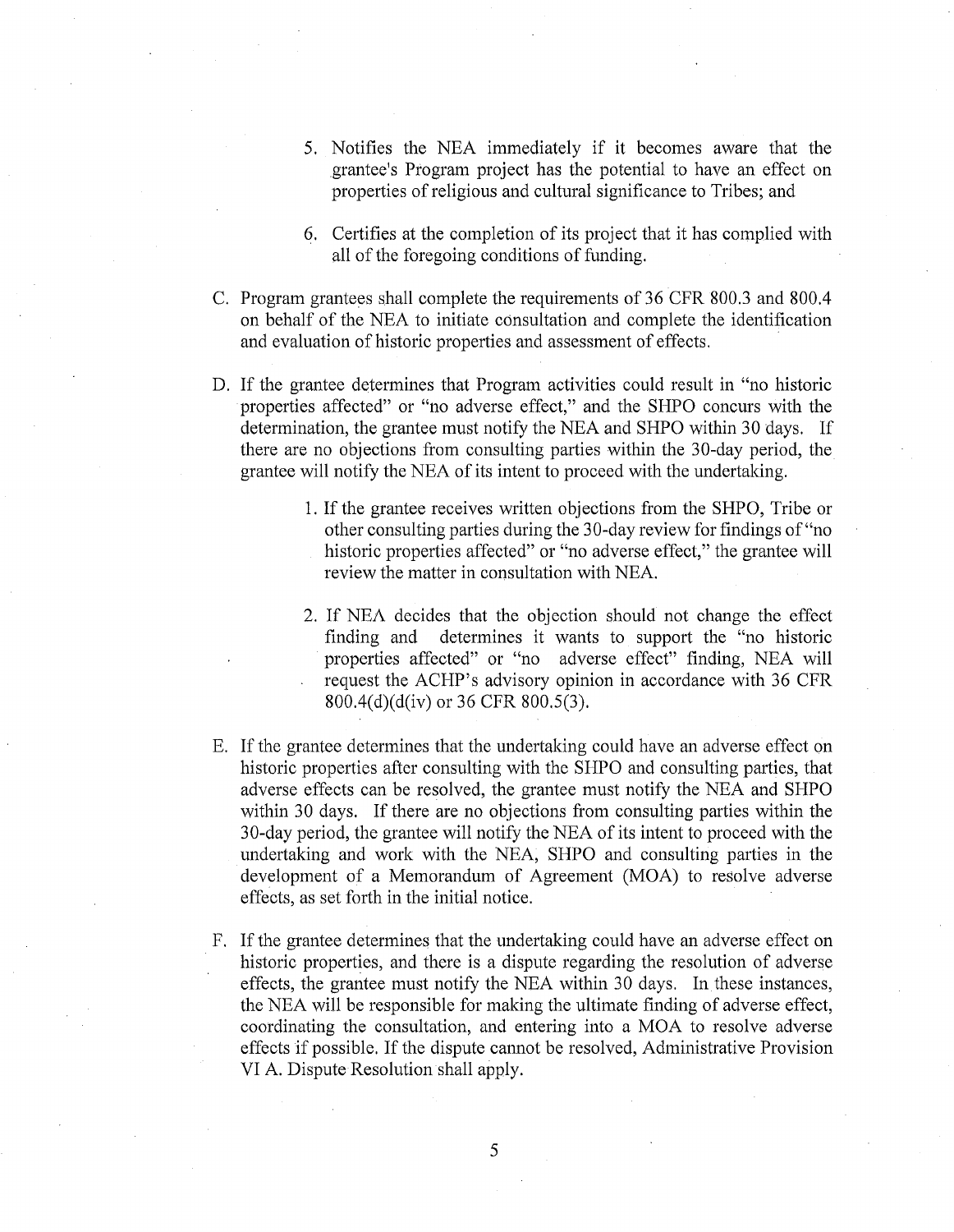- 5. Notifies the NEA immediately if it becomes aware that the grantee's Program project has the potential to have an effect on properties of religious and cultural significance to Tribes; and
- 6. Certifies at the completion of its project that it has complied with all of the foregoing conditions of funding.
- C. Program grantees shall complete the requirements of 36 CFR 800.3 and 800.4 on behalf of the NEA to initiate consultation and complete the identification and evaluation of historic properties and assessment of effects.
- D. If the grantee determines that Program activities could result in "no historic properties affected" or "no adverse effect," and the SHPO concurs with the determination, the grantee must notify the NEA and SHPO within 30 days. If there are no objections from consulting parties within the 30-day period, the grantee will notify the NEA of its intent to proceed with the undertaking.
	- 1. If the grantee receives written objections from the SHPO, Tribe or other consulting parties during the 30-day review for findings of"no historic properties affected" or "no adverse effect," the grantee will review the matter in consultation with NEA.
	- 2. If NEA decides that the objection should not change the effect finding and determines it wants to support the "no historic properties affected" or "no adverse effect" finding, NEA will request the ACHP's advisory opinion in accordance with 36 CFR 800.4(d)(d(iv) or 36 CFR 800.5(3).
- E. If the grantee determines that the undertaking could have an adverse effect on historic properties after consulting with the SHPO and consulting parties, that adverse effects can be resolved, the grantee must notify the NEA and SHPO within 30 days. If there are no objections from consulting parties within the 30-day period, the grantee will notify the NEA of its intent to proceed with the undertaking and work with the NEA, **SHPO** and consulting parties in the development of a Memorandum of Agreement (MOA) to resolve adverse effects, as set forth in the initial notice.
- F. If the grantee determines that the undertaking could have an adverse effect on historic properties, and there is a dispute regarding the resolution of adverse effects, the grantee must notify the NEA within 30 days. In these instances, the NEA will be responsible for making the ultimate finding of adverse effect, coordinating the consultation, and entering into a MOA to resolve adverse effects if possible. If the dispute cannot be resolved, Administrative Provision VI A. Dispute Resolution shall apply.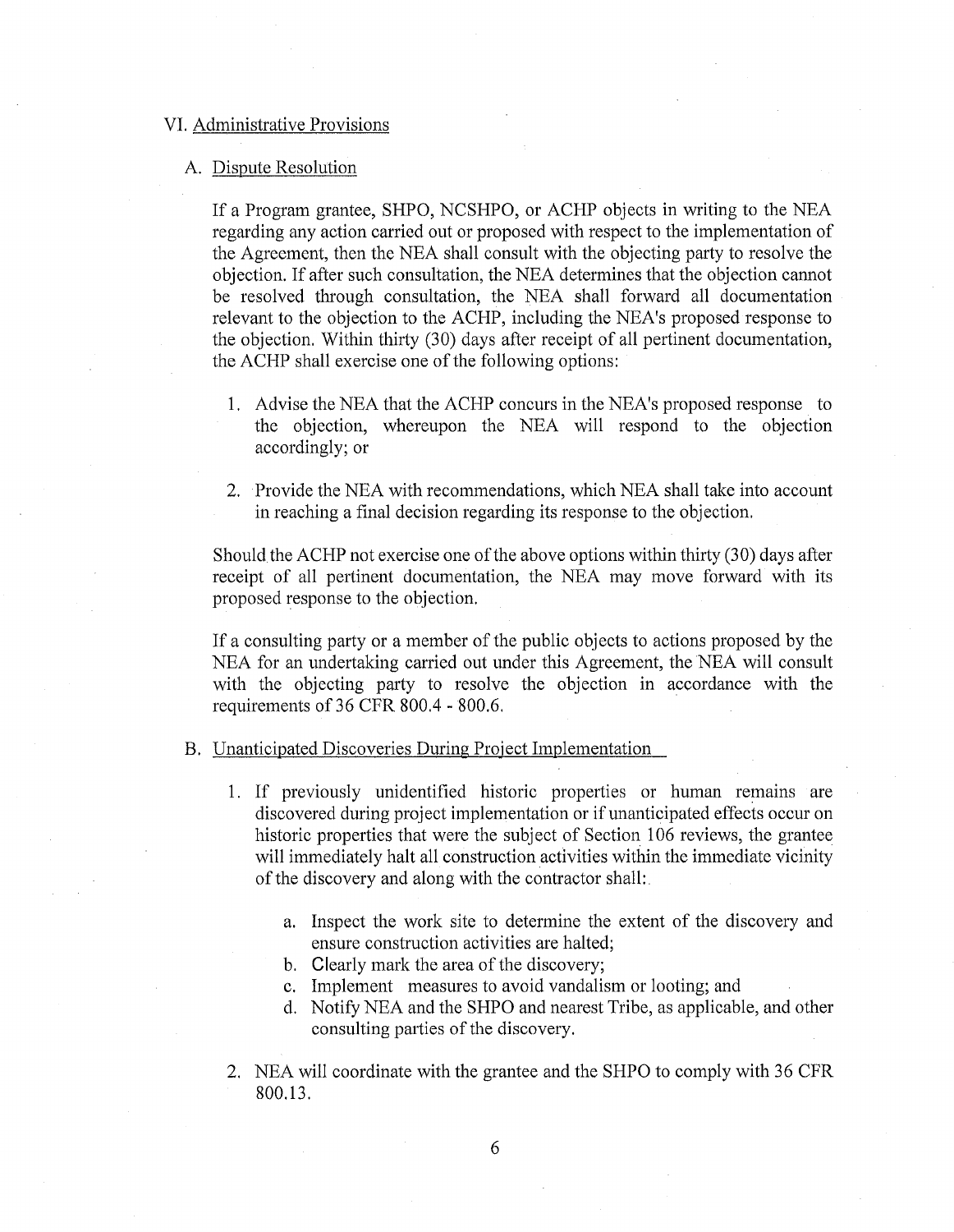## VI. Administrative Provisions

#### A. Dispute Resolution

If a Program grantee, SHPO, NCSHPO, or ACHP objects in writing to the NEA regarding any action carried out or proposed with respect to the implementation of the Agreement, then the NEA shall consult with the objecting party to resolve the objection. If after such consultation, the NEA determines that the objection cannot be resolved through consultation, the NEA shall forward all documentation relevant to the objection to the ACHP, including the NEA's proposed response to the objection. Within thirty (30) days after receipt of all pertinent documentation, the ACHP shall exercise one of the following options:

- 1. Advise the NEA that the ACHP concurs in the NEA's proposed response to the objection, whereupon the NEA will respond to the objection accordingly; or
- 2. Provide the NEA with recommendations, which NEA shall take into account in reaching a final decision regarding its response to the objection.

Should the ACHP not exercise one of the above options within thirty (30) days after receipt of all pertinent documentation, the NEA may move forward with its proposed response to the objection.

If a consulting party or a member of the public objects to actions proposed by the NEA for an undertaking carried out under this Agreement, the NEA will consult with the objecting party to resolve the objection in accordance with the requirements of 36 CFR 800.4 - 800.6.

#### B. Unanticipated Discoveries During Project Implementation

- 1. If previously unidentified historic properties or human remains are discovered during project implementation or if unanticipated effects occur on historic properties that were the subject of Section 106 reviews, the grantee will immediately halt all construction activities within the immediate vicinity of the discovery and along with the contractor shall:.
	- a. Inspect the work site to determine the extent of the discovery and ensure construction activities are halted;
	- b. Clearly mark the area of the discovery;
	- c. Implement measures to avoid vandalism or looting; and
	- d. Notify NEA and the SHPO and nearest Tribe, as applicable, and other consulting parties of the discovery.
- 2. NEA will coordinate with the grantee and the SHPO to comply with 36 CFR 800.13.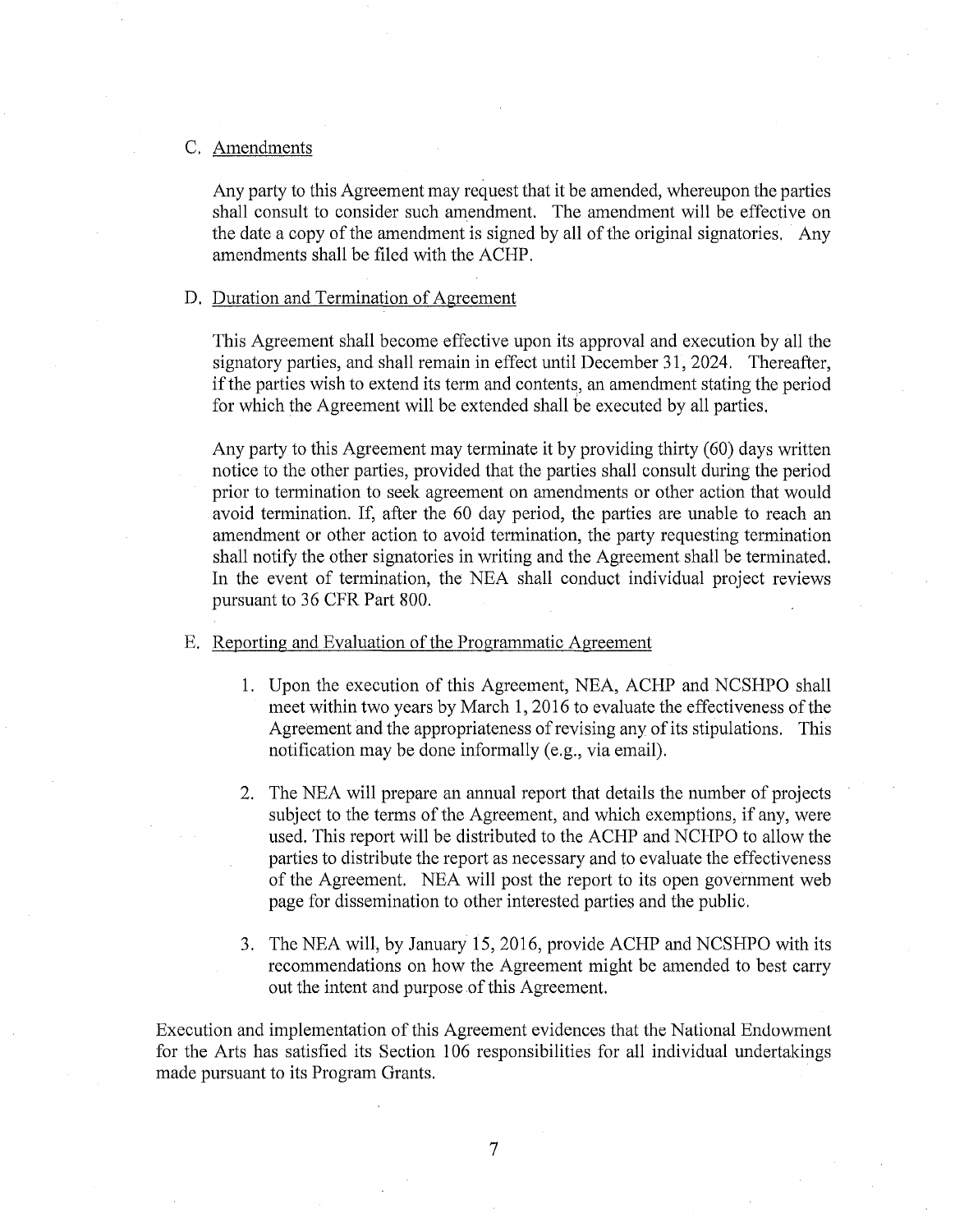## C. Amendments

Any party to this Agreement may request that it be amended, whereupon the parties shall consult to consider such amendment. The amendment will be effective on the date a copy of the amendment is signed by all of the original signatories. Any amendments shall be filed with the ACHP.

## D. Duration and Termination of Agreement

This Agreement shall become effective upon its approval and execution by all the signatory parties, and shall remain in effect until December 31, 2024. Thereafter, if the parties wish to extend its term and contents, an amendment stating the period for which the Agreement will be extended shall be executed by all parties.

Any party to this Agreement may terminate it by providing thirty (60) days written notice to the other parties, provided that the parties shall consult during the period prior to termination to seek agreement on amendments or other action that would avoid termination. If, after the 60 day period, the parties are unable to reach an amendment or other action to avoid termination, the party requesting termination shall notify the other signatories in writing and the Agreement shall be terminated. In the event of termination, the NEA shall conduct individual project reviews pursuant to 36 CFR Part 800.

- E. Reporting and Evaluation of the Programmatic Agreement
	- 1. Upon the execution of this Agreement, NEA, ACHP and NCSHPO shall meet within two years by March 1, 2016 to evaluate the effectiveness of the Agreement and the appropriateness of revising any of its stipulations. This notification may be done informally (e.g., via email).
	- 2. The NEA will prepare an annual report that details the number of projects subject to the terms of the Agreement, and which exemptions, if any, were used. This report will be distributed to the ACHP and NCHPO to allow the parties to distribute the report as necessary and to evaluate the effectiveness of the Agreement. NEA will post the report to its open government web page for dissemination to other interested parties and the public.
	- 3. The NEA will, by January 15, 2016, provide ACHP and NCSHPO with its recommendations on how the Agreement might be amended to best carry out the intent and purpose of this Agreement.

Execution and implementation of this Agreement evidences that the National Endowment for the Arts has satisfied its Section 106 responsibilities for all individual undertakings made pursuant to its Program Grants.

7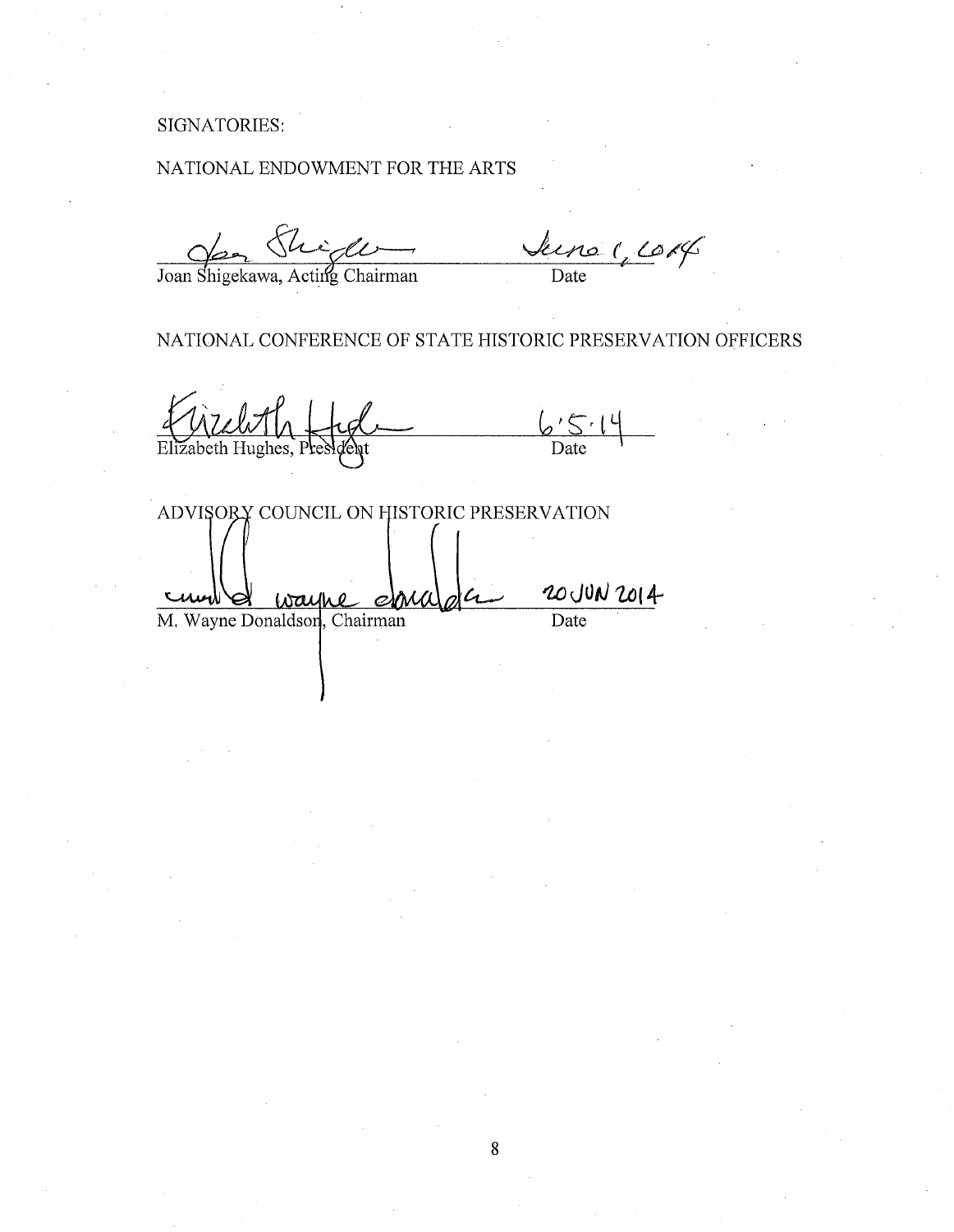# SIGNATORIES:

# NATIONAL ENDOWMENT FOR THE ARTS

*J~.(* LJ;/J/1· Joan Shigekawa, Acting Chairman Date

NATIONAL CONFERENCE OF STATE HISTORIC PRESERVATION OFFICERS

 $6514$ <br>Date Elizabeth Hughes

ADVISORY COUNCIL ON HISTORIC PRESERVATION

 $\frac{20 \text{ JUN } 2014}{\text{Date}}$ M. Wayne Donaldson, Chairman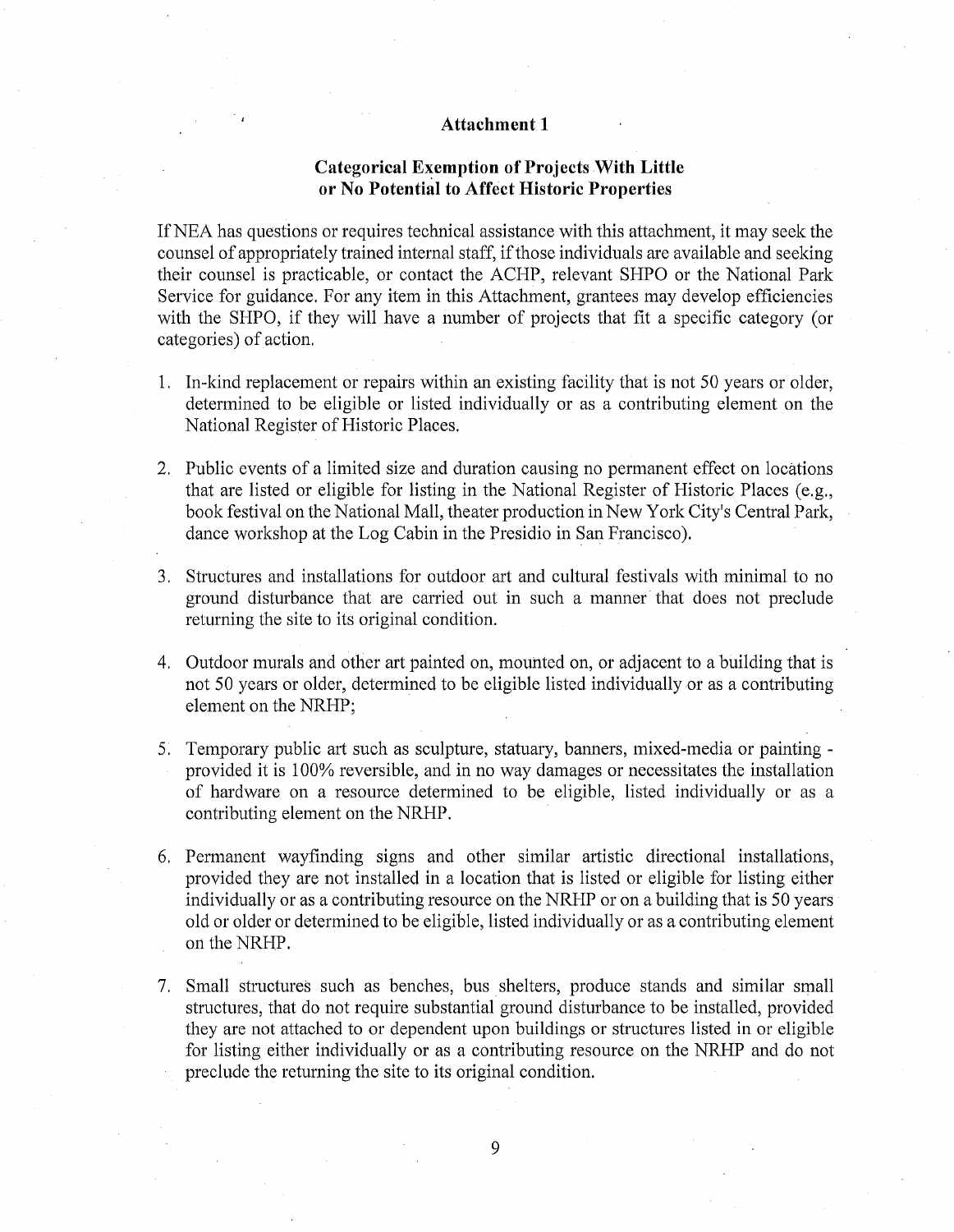## **Attachment 1**

## **Categorical Exemption of Projects With Little or No Potential to Affect Historic Properties**

IfNEA has questions or requires technical assistance with this attachment, it may seek the counsel of appropriately trained internal staff, if those individuals are available and seeking their counsel is practicable, or contact the ACHP, relevant SHPO or the National Park Service for guidance. For any item in this Attachment, grantees may develop efficiencies with the SHPO, if they will have a number of projects that fit a specific category (or categories) of action.

- 1. In-kind replacement or repairs within an existing facility that is not 50 years or older, determined to be eligible or listed individually or as a contributing element on the National Register of Historic Places.
- 2. Public events of a limited size and duration causing no permanent effect on locations that are listed or eligible for listing in the National Register of Historic Places  $(e.g.,)$ book festival on the National Mall, theater production in New York City's Central Park, dance workshop at the Log Cabin in the Presidio in San Francisco).
- 3. Structures and installations for outdoor art and cultural festivals with minimal to no ground disturbance that are carried out in such a manner that does not preclude returning the site to its original condition.
- 4. Outdoor murals and other art painted on, mounted on, or adjacent to a building that is not 50 years or older, determined to be eligible listed individually or as a contributing element on the NRHP;
- 5. Temporary public art such as sculpture, statuary, banners, mixed-media or painting provided it is 100% reversible, and in no way damages or necessitates the installation of hardware on a resource determined to be eligible, listed individually or as a contributing element on the NRHP.
- 6. Permanent wayfinding signs and other similar artistic directional installations, provided they are not installed in a location that is listed or eligible for listing either individually or as a contributing resource on the NRHP or on a building that is 50 years old or older or determined to be eligible, listed individually or as a contributing element on the NRHP.
- 7. Small structures such as benches, bus shelters, produce stands and similar small structures, that do not require substantial ground disturbance to be installed, provided they are not attached to or dependent upon buildings or structures listed in or eligible for listing either individually or as a contributing resource on the NRHP and do not preclude the returning the site to its original condition.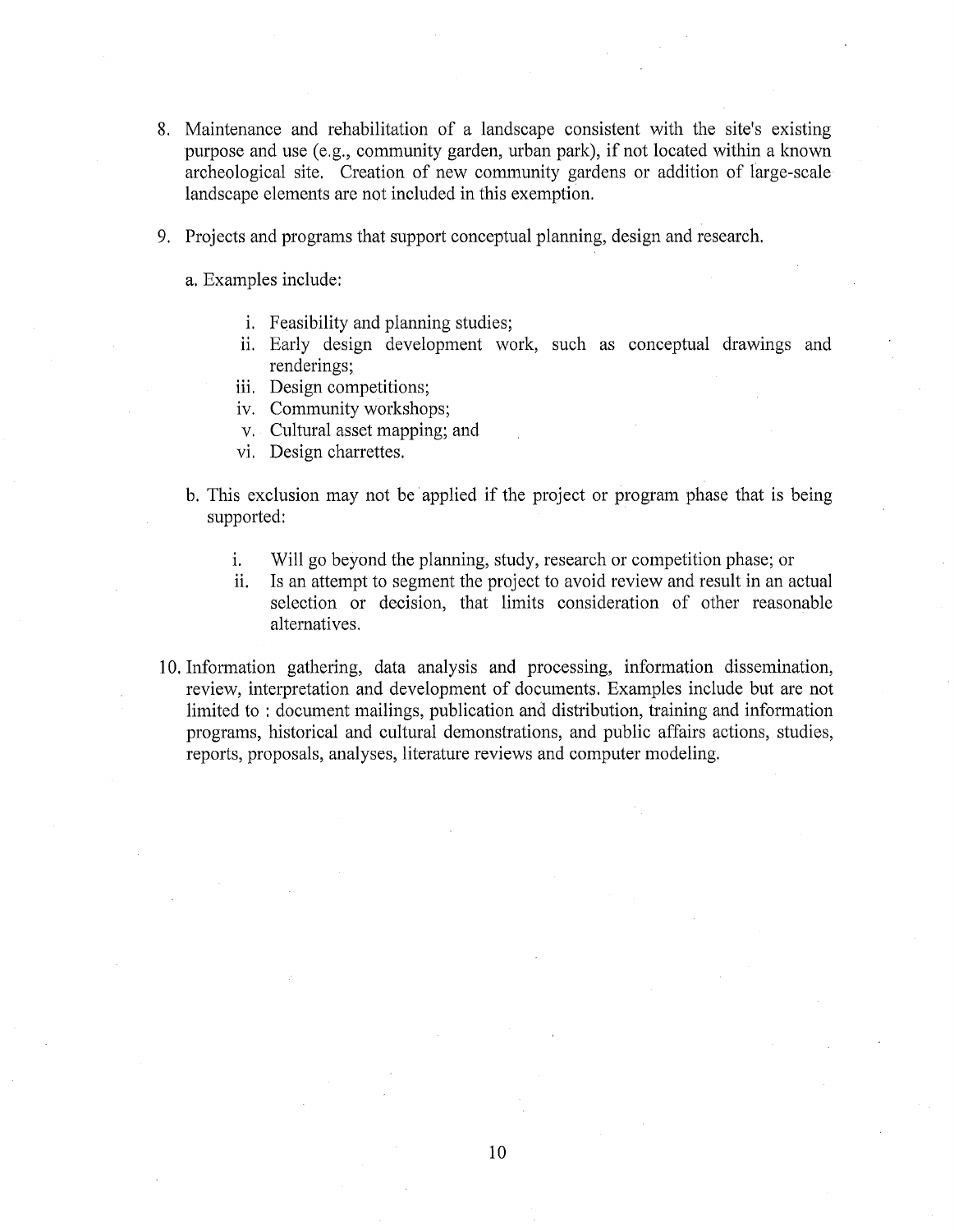- 8. Maintenance and rehabilitation of a landscape consistent with the site's existing purpose and use (e.g., community garden, urban park), if not located within a known archeological site. Creation of new community gardens or addition of large-scale landscape elements are not included in this exemption.
- 9. Projects and programs that support conceptual planning, design and research.

a. Examples include:

- i. Feasibility and planning studies;
- ii. Early design development work, such as conceptual drawings and renderings;
- iii. Design competitions;
- iv. Community workshops;
- v. Cultural asset mapping; and
- vi. Design charrettes.
- b. This exclusion may not be applied if the project or program phase that is being supported:
	- 1. Will go beyond the planning, study, research or competition phase; or
	- ii. Is an attempt to segment the project to avoid review and result in an actual selection or decision, that limits consideration of other reasonable alternatives.
- 10. Information gathering, data analysis and processing, information dissemination, review, interpretation and development of documents. Examples include but are not limited to : document mailings, publication and distribution, training and information programs, historical and cultural demonstrations, and public affairs actions, studies, reports, proposals, analyses, literature reviews and computer modeling.